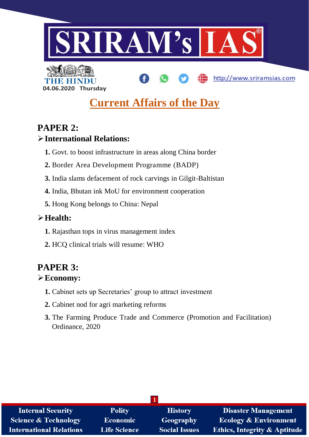

http://www.sriramsias.com

**04.06.2020 Thursday**

# **Current Affairs of the Day**

# **PAPER 2:**

## **International Relations:**

- **1.** Govt. to boost infrastructure in areas along China border
- **2.** Border Area Development Programme (BADP)
- **3.** India slams defacement of rock carvings in Gilgit-Baltistan
- **4.** India, Bhutan ink MoU for environment cooperation
- **5.** Hong Kong belongs to China: Nepal

# **Health:**

- **1.** Rajasthan tops in virus management index
- **2.** HCQ clinical trials will resume: WHO

# **PAPER 3:**

## **Economy:**

- **1.** Cabinet sets up Secretaries' group to attract investment
- **2.** Cabinet nod for agri marketing reforms
- **3.** The Farming Produce Trade and Commerce (Promotion and Facilitation) Ordinance, 2020

| <b>Internal Security</b>        | <b>Polity</b>       | <b>History</b>       | <b>Disaster Management</b>              |  |
|---------------------------------|---------------------|----------------------|-----------------------------------------|--|
| <b>Science &amp; Technology</b> | <b>Economic</b>     | <b>Geography</b>     | <b>Ecology &amp; Environment</b>        |  |
| <b>International Relations</b>  | <b>Life Science</b> | <b>Social Issues</b> | <b>Ethics, Integrity &amp; Aptitude</b> |  |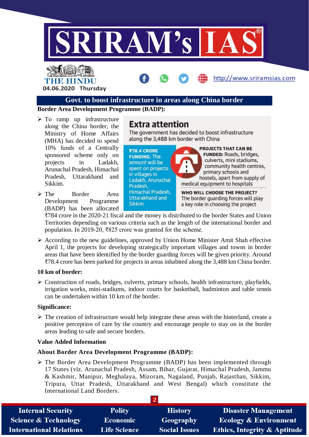

# THE HINDI **04.06.2020 Thursday**

#### **Govt. to boost infrastructure in areas along China border**

**Border Area Development Programme (BADP):**

- $\triangleright$  To ramp up infrastructure along the China border, the Ministry of Home Affairs (MHA) has decided to spend 10% funds of a Centrally sponsored scheme only on projects in Ladakh, Arunachal Pradesh, Himachal Pradesh, Uttarakhand and Sikkim.
- The Border Area Development Programme (BADP) has been allocated

**Extra attention** 

The government has decided to boost infrastructure along the 3,488 km border with China

http://www.sriramsias.com



₹784 crore in the 2020-21 fiscal and the money is distributed to the border States and Union Territories depending on various criteria such as the length of the international border and population. In 2019-20, ₹825 crore was granted for the scheme.

 $\triangleright$  According to the new guidelines, approved by Union Home Minister Amit Shah effective April 1, the projects for developing strategically important villages and towns in border areas that have been identified by the border guarding forces will be given priority. Around ₹78.4 crore has been parked for projects in areas inhabited along the 3,488 km China border.

#### **10 km of border:**

 $\triangleright$  Construction of roads, bridges, culverts, primary schools, health infrastructure, playfields, irrigation works, mini-stadiums, indoor courts for basketball, badminton and table tennis can be undertaken within 10 km of the border.

#### **Significance:**

 $\triangleright$  The creation of infrastructure would help integrate these areas with the hinterland, create a positive perception of care by the country and encourage people to stay on in the border areas leading to safe and secure borders.

#### **Value Added Information**

#### **About Border Area Development Programme (BADP):**

 $\triangleright$  The Border Area Development Programme (BADP) has been implemented through 17 States (viz. Arunachal Pradesh, Assam, Bihar, Gujarat, Himachal Pradesh, Jammu & Kashmir, Manipur, Meghalaya, Mizoram, Nagaland, Punjab, Rajasthan, Sikkim, Tripura, Uttar Pradesh, Uttarakhand and West Bengal) which constitute the International Land Borders.

| <b>Internal Security</b>        | <b>Polity</b>       | <b>History</b>       | <b>Disaster Management</b>              |
|---------------------------------|---------------------|----------------------|-----------------------------------------|
| <b>Science &amp; Technology</b> | <b>Economic</b>     | Geography            | <b>Ecology &amp; Environment</b>        |
| <b>International Relations</b>  | <b>Life Science</b> | <b>Social Issues</b> | <b>Ethics, Integrity &amp; Aptitude</b> |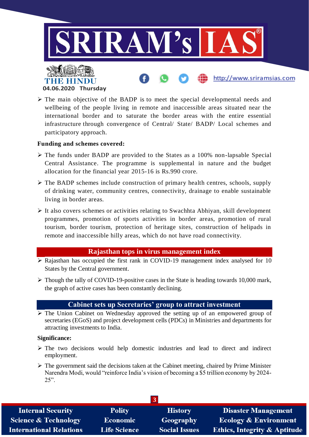

 $\triangleright$  The main objective of the BADP is to meet the special developmental needs and wellbeing of the people living in remote and inaccessible areas situated near the international border and to saturate the border areas with the entire essential infrastructure through convergence of Central/ State/ BADP/ Local schemes and participatory approach.

#### **Funding and schemes covered:**

- The funds under BADP are provided to the States as a 100% non-lapsable Special Central Assistance. The programme is supplemental in nature and the budget allocation for the financial year 2015-16 is Rs.990 crore.
- $\triangleright$  The BADP schemes include construction of primary health centres, schools, supply of drinking water, community centres, connectivity, drainage to enable sustainable living in border areas.
- $\triangleright$  It also covers schemes or activities relating to Swachhta Abhiyan, skill development programmes, promotion of sports activities in border areas, promotion of rural tourism, border tourism, protection of heritage sites, construction of helipads in remote and inaccessible hilly areas, which do not have road connectivity.

#### **Rajasthan tops in virus management index**

- $\triangleright$  Rajasthan has occupied the first rank in COVID-19 management index analysed for 10 States by the Central government.
- $\triangleright$  Though the tally of COVID-19-positive cases in the State is heading towards 10,000 mark, the graph of active cases has been constantly declining.

#### **Cabinet sets up Secretaries' group to attract investment**

 $\triangleright$  The Union Cabinet on Wednesday approved the setting up of an empowered group of secretaries (EGoS) and project development cells (PDCs) in Ministries and departments for attracting investments to India.

#### **Significance:**

- $\triangleright$  The two decisions would help domestic industries and lead to direct and indirect employment.
- $\triangleright$  The government said the decisions taken at the Cabinet meeting, chaired by Prime Minister Narendra Modi, would "reinforce India's vision of becoming a \$5 trillion economy by 2024- 25".

| <b>Internal Security</b>        | <b>Polity</b>       | <b>History</b>       | <b>Disaster Management</b>              |
|---------------------------------|---------------------|----------------------|-----------------------------------------|
| <b>Science &amp; Technology</b> | <b>Economic</b>     | Geography            | <b>Ecology &amp; Environment</b>        |
| <b>International Relations</b>  | <b>Life Science</b> | <b>Social Issues</b> | <b>Ethics, Integrity &amp; Aptitude</b> |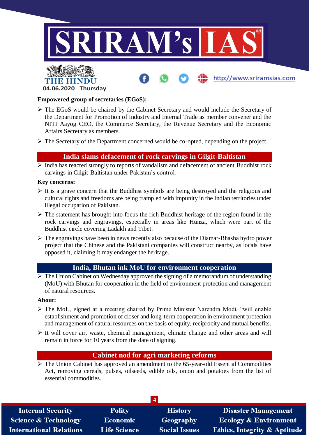

## **04.06.2020 Thursday**

#### **Empowered group of secretaries (EGoS):**

- The EGoS would be chaired by the Cabinet Secretary and would include the Secretary of the Department for Promotion of Industry and Internal Trade as member convener and the NITI Aayog CEO, the Commerce Secretary, the Revenue Secretary and the Economic Affairs Secretary as members.
- The Secretary of the Department concerned would be co-opted, depending on the project.

#### **India slams defacement of rock carvings in Gilgit-Baltistan**

 $\triangleright$  India has reacted strongly to reports of vandalism and defacement of ancient Buddhist rock carvings in Gilgit-Baltistan under Pakistan's control.

#### **Key concerns:**

- $\triangleright$  It is a grave concern that the Buddhist symbols are being destroyed and the religious and cultural rights and freedoms are being trampled with impunity in the Indian territories under illegal occupation of Pakistan.
- $\triangleright$  The statement has brought into focus the rich Buddhist heritage of the region found in the rock carvings and engravings, especially in areas like Hunza, which were part of the Buddhist circle covering Ladakh and Tibet.
- $\triangleright$  The engravings have been in news recently also because of the Diamar-Bhasha hydro power project that the Chinese and the Pakistani companies will construct nearby, as locals have opposed it, claiming it may endanger the heritage.

## **India, Bhutan ink MoU for environment cooperation**

 $\triangleright$  The Union Cabinet on Wednesday approved the signing of a memorandum of understanding (MoU) with Bhutan for cooperation in the field of environment protection and management of natural resources.

#### **About:**

- The MoU, signed at a meeting chaired by Prime Minister Narendra Modi, "will enable establishment and promotion of closer and long-term cooperation in environment protection and management of natural resources on the basis of equity, reciprocity and mutual benefits.
- $\triangleright$  It will cover air, waste, chemical management, climate change and other areas and will remain in force for 10 years from the date of signing.

#### **Cabinet nod for agri marketing reforms**

 The Union Cabinet has approved an amendment to the 65-year-old Essential Commodities Act, removing cereals, pulses, oilseeds, edible oils, onion and potatoes from the list of essential commodities.

| <b>Internal Security</b>        | <b>Polity</b>       | <b>History</b>       | <b>Disaster Management</b>              |
|---------------------------------|---------------------|----------------------|-----------------------------------------|
| <b>Science &amp; Technology</b> | <b>Economic</b>     | Geography            | <b>Ecology &amp; Environment</b>        |
| <b>International Relations</b>  | <b>Life Science</b> | <b>Social Issues</b> | <b>Ethics, Integrity &amp; Aptitude</b> |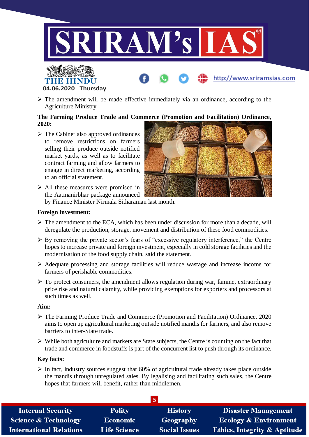

 $\triangleright$  The amendment will be made effective immediately via an ordinance, according to the Agriculture Ministry.

#### **The Farming Produce Trade and Commerce (Promotion and Facilitation) Ordinance, 2020:**

 $\triangleright$  The Cabinet also approved ordinances to remove restrictions on farmers selling their produce outside notified market yards, as well as to facilitate contract farming and allow farmers to engage in direct marketing, according to an official statement.

**04.06.2020 Thursday**



 $\triangleright$  All these measures were promised in the Aatmanirbhar package announced

by Finance Minister Nirmala Sitharaman last month.

#### **Foreign investment:**

- $\triangleright$  The amendment to the ECA, which has been under discussion for more than a decade, will deregulate the production, storage, movement and distribution of these food commodities.
- By removing the private sector's fears of "excessive regulatory interference," the Centre hopes to increase private and foreign investment, especially in cold storage facilities and the modernisation of the food supply chain, said the statement.
- Adequate processing and storage facilities will reduce wastage and increase income for farmers of perishable commodities.
- $\triangleright$  To protect consumers, the amendment allows regulation during war, famine, extraordinary price rise and natural calamity, while providing exemptions for exporters and processors at such times as well.

#### **Aim:**

- The Farming Produce Trade and Commerce (Promotion and Facilitation) Ordinance, 2020 aims to open up agricultural marketing outside notified mandis for farmers, and also remove barriers to inter-State trade.
- $\triangleright$  While both agriculture and markets are State subjects, the Centre is counting on the fact that trade and commerce in foodstuffs is part of the concurrent list to push through its ordinance.

#### **Key facts:**

 $\triangleright$  In fact, industry sources suggest that 60% of agricultural trade already takes place outside the mandis through unregulated sales. By legalising and facilitating such sales, the Centre hopes that farmers will benefit, rather than middlemen.

| <b>Internal Security</b>        | <b>Polity</b>       | <b>History</b>       | <b>Disaster Management</b>              |
|---------------------------------|---------------------|----------------------|-----------------------------------------|
| <b>Science &amp; Technology</b> | <b>Economic</b>     | Geography            | <b>Ecology &amp; Environment</b>        |
| <b>International Relations</b>  | <b>Life Science</b> | <b>Social Issues</b> | <b>Ethics, Integrity &amp; Aptitude</b> |